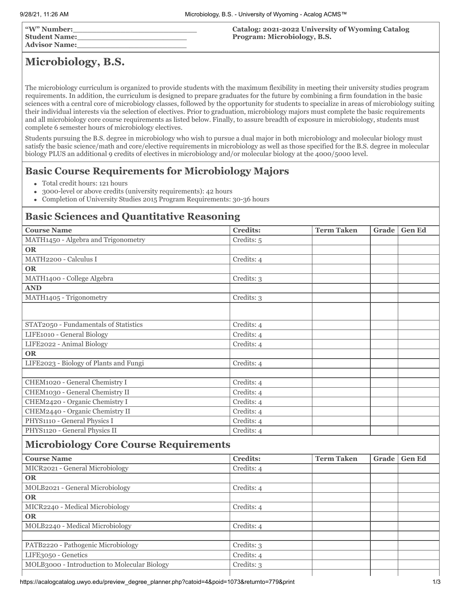| "W" Number:<br>  Student Name: | Catalog: 2021-2022 University of Wyoming Catalog<br>Program: Microbiology, B.S. |
|--------------------------------|---------------------------------------------------------------------------------|
| <b>Advisor Name:</b>           |                                                                                 |

# **Microbiology, B.S.**

The microbiology curriculum is organized to provide students with the maximum flexibility in meeting their university studies program requirements. In addition, the curriculum is designed to prepare graduates for the future by combining a firm foundation in the basic sciences with a central core of microbiology classes, followed by the opportunity for students to specialize in areas of microbiology suiting their individual interests via the selection of electives. Prior to graduation, microbiology majors must complete the basic requirements and all microbiology core course requirements as listed below. Finally, to assure breadth of exposure in microbiology, students must complete 6 semester hours of microbiology electives.

Students pursuing the B.S. degree in microbiology who wish to pursue a dual major in both microbiology and molecular biology must satisfy the basic science/math and core/elective requirements in microbiology as well as those specified for the B.S. degree in molecular biology PLUS an additional 9 credits of electives in microbiology and/or molecular biology at the 4000/5000 level.

## **Basic Course Requirements for Microbiology Majors**

- Total credit hours: 121 hours
- 3000-level or above credits (university requirements): 42 hours  $\bullet$
- $\bullet$ Completion of University Studies 2015 Program Requirements: 30-36 hours

## **Basic Sciences and Quantitative Reasoning**

| <b>Course Name</b>                           | Credits:        | <b>Term Taken</b> | Grade | <b>Gen Ed</b> |  |  |
|----------------------------------------------|-----------------|-------------------|-------|---------------|--|--|
| MATH1450 - Algebra and Trigonometry          | Credits: 5      |                   |       |               |  |  |
| <b>OR</b>                                    |                 |                   |       |               |  |  |
| MATH2200 - Calculus I                        | Credits: 4      |                   |       |               |  |  |
| <b>OR</b>                                    |                 |                   |       |               |  |  |
| MATH1400 - College Algebra                   | Credits: 3      |                   |       |               |  |  |
| <b>AND</b>                                   |                 |                   |       |               |  |  |
| MATH1405 - Trigonometry                      | Credits: 3      |                   |       |               |  |  |
|                                              |                 |                   |       |               |  |  |
|                                              |                 |                   |       |               |  |  |
| STAT2050 - Fundamentals of Statistics        | Credits: 4      |                   |       |               |  |  |
| LIFE1010 - General Biology                   | Credits: 4      |                   |       |               |  |  |
| LIFE2022 - Animal Biology                    | Credits: 4      |                   |       |               |  |  |
| <b>OR</b>                                    |                 |                   |       |               |  |  |
| LIFE2023 - Biology of Plants and Fungi       | Credits: 4      |                   |       |               |  |  |
|                                              |                 |                   |       |               |  |  |
| CHEM1020 - General Chemistry I               | Credits: 4      |                   |       |               |  |  |
| CHEM1030 - General Chemistry II              | Credits: 4      |                   |       |               |  |  |
| CHEM2420 - Organic Chemistry I               | Credits: 4      |                   |       |               |  |  |
| CHEM2440 - Organic Chemistry II              | Credits: 4      |                   |       |               |  |  |
| PHYS1110 - General Physics I                 | Credits: 4      |                   |       |               |  |  |
| PHYS1120 - General Physics II                | Credits: 4      |                   |       |               |  |  |
| <b>Microbiology Core Course Requirements</b> |                 |                   |       |               |  |  |
| <b>Course Name</b>                           | <b>Credits:</b> | <b>Term Taken</b> | Grade | <b>Gen Ed</b> |  |  |
| MICR2021 - General Microbiology              | Credits: 4      |                   |       |               |  |  |
| <b>OR</b>                                    |                 |                   |       |               |  |  |
| MOLB2021 - General Microbiology              | Credits: 4      |                   |       |               |  |  |
| <b>OR</b>                                    |                 |                   |       |               |  |  |
| MICR2240 - Medical Microbiology              | Credits: 4      |                   |       |               |  |  |
| <b>OR</b>                                    |                 |                   |       |               |  |  |
| MOLB2240 - Medical Microbiology              | Credits: 4      |                   |       |               |  |  |
|                                              |                 |                   |       |               |  |  |
| PATB2220 - Pathogenic Microbiology           | Credits: 3      |                   |       |               |  |  |
| LIFE3050 - Genetics                          | Credits: 4      |                   |       |               |  |  |
| MOLB3000 - Introduction to Molecular Biology | Credits: 3      |                   |       |               |  |  |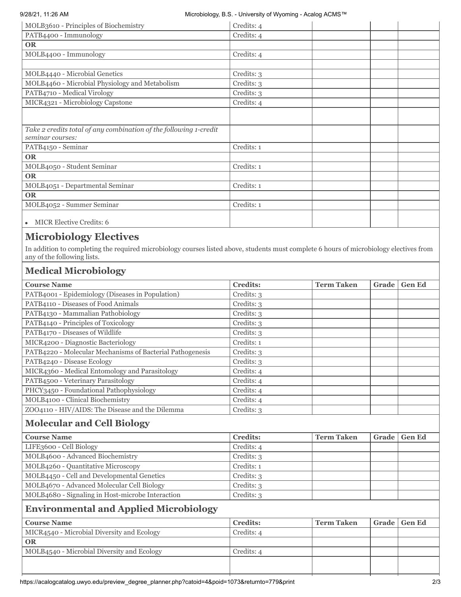#### 9/28/21, 11:26 AM Microbiology, B.S. - University of Wyoming - Acalog ACMS™

| <b>MICR Elective Credits: 6</b><br>$\bullet$                                          |            |  |
|---------------------------------------------------------------------------------------|------------|--|
|                                                                                       |            |  |
| MOLB4052 - Summer Seminar                                                             | Credits: 1 |  |
| <b>OR</b>                                                                             |            |  |
| MOLB4051 - Departmental Seminar                                                       | Credits: 1 |  |
| <b>OR</b>                                                                             |            |  |
| MOLB4050 - Student Seminar                                                            | Credits: 1 |  |
| <b>OR</b>                                                                             |            |  |
| PATB4150 - Seminar                                                                    | Credits: 1 |  |
| Take 2 credits total of any combination of the following 1-credit<br>seminar courses: |            |  |
|                                                                                       |            |  |
| MICR4321 - Microbiology Capstone                                                      | Credits: 4 |  |
| PATB4710 - Medical Virology                                                           | Credits: 3 |  |
| MOLB4460 - Microbial Physiology and Metabolism                                        | Credits: 3 |  |
| MOLB4440 - Microbial Genetics                                                         | Credits: 3 |  |
|                                                                                       |            |  |
| MOLB4400 - Immunology                                                                 | Credits: 4 |  |
| <b>OR</b>                                                                             |            |  |
| PATB4400 - Immunology                                                                 | Credits: 4 |  |
| MOLB3610 - Principles of Biochemistry                                                 | Credits: 4 |  |

In addition to completing the required microbiology courses listed above, students must complete 6 hours of microbiology electives from any of the following lists.

## **Medical Microbiology**

| <b>Course Name</b>                                        | <b>Credits:</b> | <b>Term Taken</b> | Grade | <b>Gen Ed</b> |  |
|-----------------------------------------------------------|-----------------|-------------------|-------|---------------|--|
| PATB4001 - Epidemiology (Diseases in Population)          | Credits: 3      |                   |       |               |  |
| PATB4110 - Diseases of Food Animals                       | Credits: 3      |                   |       |               |  |
| PATB4130 - Mammalian Pathobiology                         | Credits: 3      |                   |       |               |  |
| PATB4140 - Principles of Toxicology                       | Credits: 3      |                   |       |               |  |
| PATB4170 - Diseases of Wildlife                           | Credits: 3      |                   |       |               |  |
| MICR4200 - Diagnostic Bacteriology                        | Credits: 1      |                   |       |               |  |
| PATB4220 - Molecular Mechanisms of Bacterial Pathogenesis | Credits: 3      |                   |       |               |  |
| PATB4240 - Disease Ecology                                | Credits: 3      |                   |       |               |  |
| MICR4360 - Medical Entomology and Parasitology            | Credits: 4      |                   |       |               |  |
| PATB4500 - Veterinary Parasitology                        | Credits: 4      |                   |       |               |  |
| PHCY3450 - Foundational Pathophysiology                   | Credits: 4      |                   |       |               |  |
| MOLB4100 - Clinical Biochemistry                          | Credits: 4      |                   |       |               |  |
| ZOO4110 - HIV/AIDS: The Disease and the Dilemma           | Credits: 3      |                   |       |               |  |
| <b>Molecular and Cell Biology</b>                         |                 |                   |       |               |  |
| <b>Course Name</b>                                        | <b>Credits:</b> | <b>Term Taken</b> | Grade | <b>Gen Ed</b> |  |
| LIFE3600 - Cell Biology                                   | Credits: 4      |                   |       |               |  |
| MOLB4600 - Advanced Biochemistry                          | Credits: 3      |                   |       |               |  |
| MOLB4260 - Quantitative Microscopy                        | Credits: 1      |                   |       |               |  |
| MOLB4450 - Cell and Developmental Genetics                | Credits: 3      |                   |       |               |  |
| MOLB4670 - Advanced Molecular Cell Biology                | Credits: 3      |                   |       |               |  |
| MOLB4680 - Signaling in Host-microbe Interaction          | Credits: 3      |                   |       |               |  |
| <b>Environmental and Applied Microbiology</b>             |                 |                   |       |               |  |
| <b>Course Name</b>                                        | <b>Credits:</b> | <b>Term Taken</b> | Grade | <b>Gen Ed</b> |  |
| MICR4540 - Microbial Diversity and Ecology                | Credits: 4      |                   |       |               |  |
| <b>OR</b>                                                 |                 |                   |       |               |  |
| MOLB4540 - Microbial Diversity and Ecology                | Credits: 4      |                   |       |               |  |
|                                                           |                 |                   |       |               |  |